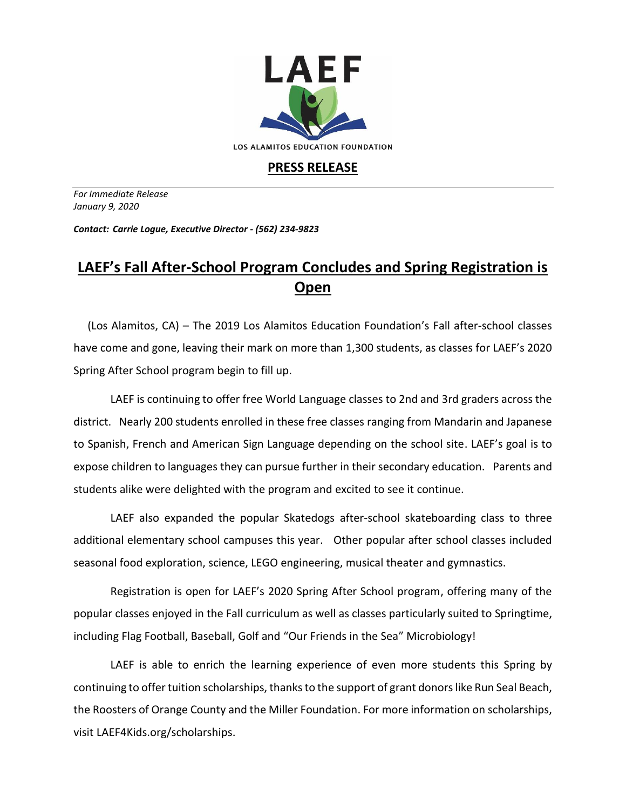

## **PRESS RELEASE**

*For Immediate Release January 9, 2020*

*Contact: Carrie Logue, Executive Director - (562) 234-9823*

## **LAEF's Fall After-School Program Concludes and Spring Registration is Open**

 (Los Alamitos, CA) – The 2019 Los Alamitos Education Foundation's Fall after-school classes have come and gone, leaving their mark on more than 1,300 students, as classes for LAEF's 2020 Spring After School program begin to fill up.

LAEF is continuing to offer free World Language classes to 2nd and 3rd graders across the district. Nearly 200 students enrolled in these free classes ranging from Mandarin and Japanese to Spanish, French and American Sign Language depending on the school site. LAEF's goal is to expose children to languages they can pursue further in their secondary education. Parents and students alike were delighted with the program and excited to see it continue.

LAEF also expanded the popular Skatedogs after-school skateboarding class to three additional elementary school campuses this year. Other popular after school classes included seasonal food exploration, science, LEGO engineering, musical theater and gymnastics.

Registration is open for LAEF's 2020 Spring After School program, offering many of the popular classes enjoyed in the Fall curriculum as well as classes particularly suited to Springtime, including Flag Football, Baseball, Golf and "Our Friends in the Sea" Microbiology!

LAEF is able to enrich the learning experience of even more students this Spring by continuing to offer tuition scholarships, thanks to the support of grant donors like Run Seal Beach, the Roosters of Orange County and the Miller Foundation. For more information on scholarships, visit LAEF4Kids.org/scholarships.